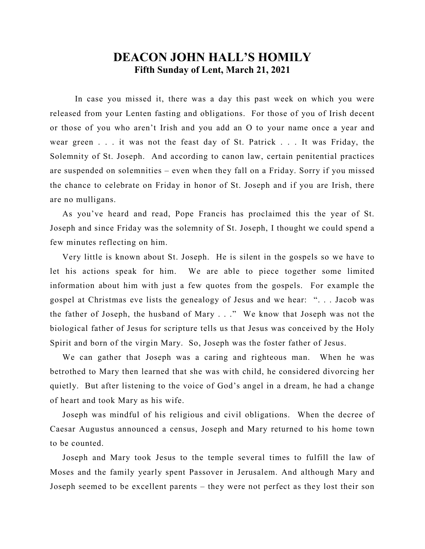## **DEACON JOHN HALL'S HOMILY Fifth Sunday of Lent, March 21, 2021**

 In case you missed it, there was a day this past week on which you were released from your Lenten fasting and obligations. For those of you of Irish decent or those of you who aren't Irish and you add an O to your name once a year and wear green . . . it was not the feast day of St. Patrick . . . It was Friday, the Solemnity of St. Joseph. And according to canon law, certain penitential practices are suspended on solemnities – even when they fall on a Friday. Sorry if you missed the chance to celebrate on Friday in honor of St. Joseph and if you are Irish, there are no mulligans.

 As you've heard and read, Pope Francis has proclaimed this the year of St. Joseph and since Friday was the solemnity of St. Joseph, I thought we could spend a few minutes reflecting on him.

 Very little is known about St. Joseph. He is silent in the gospels so we have to let his actions speak for him. We are able to piece together some limited information about him with just a few quotes from the gospels. For example the gospel at Christmas eve lists the genealogy of Jesus and we hear: ". . . Jacob was the father of Joseph, the husband of Mary . . ." We know that Joseph was not the biological father of Jesus for scripture tells us that Jesus was conceived by the Holy Spirit and born of the virgin Mary. So, Joseph was the foster father of Jesus.

 We can gather that Joseph was a caring and righteous man. When he was betrothed to Mary then learned that she was with child, he considered divorcing her quietly. But after listening to the voice of God's angel in a dream, he had a change of heart and took Mary as his wife.

 Joseph was mindful of his religious and civil obligations. When the decree of Caesar Augustus announced a census, Joseph and Mary returned to his home town to be counted.

 Joseph and Mary took Jesus to the temple several times to fulfill the law of Moses and the family yearly spent Passover in Jerusalem. And although Mary and Joseph seemed to be excellent parents – they were not perfect as they lost their son